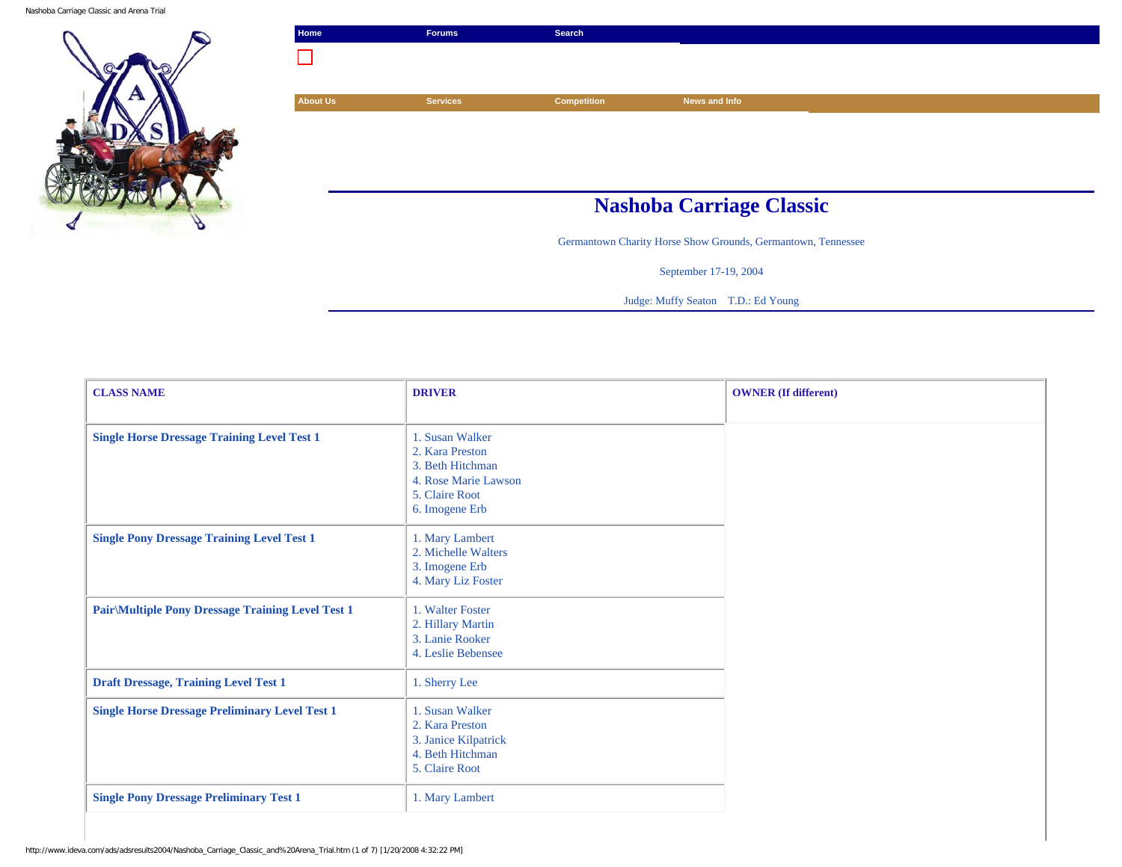

| Home            | <b>Forums</b>   | Search             |                                                              |
|-----------------|-----------------|--------------------|--------------------------------------------------------------|
|                 |                 |                    |                                                              |
|                 |                 |                    |                                                              |
| <b>About Us</b> | <b>Services</b> | <b>Competition</b> | News and Info                                                |
|                 |                 |                    |                                                              |
|                 |                 |                    |                                                              |
|                 |                 |                    |                                                              |
|                 |                 |                    |                                                              |
|                 |                 |                    | <b>Nashoba Carriage Classic</b>                              |
|                 |                 |                    | Germantown Charity Horse Show Grounds, Germantown, Tennessee |

September 17-19, 2004

Judge: Muffy Seaton T.D.: Ed Young

| <b>CLASS NAME</b>                                         | <b>DRIVER</b>                                                                                                      | <b>OWNER</b> (If different) |
|-----------------------------------------------------------|--------------------------------------------------------------------------------------------------------------------|-----------------------------|
| <b>Single Horse Dressage Training Level Test 1</b>        | 1. Susan Walker<br>2. Kara Preston<br>3. Beth Hitchman<br>4. Rose Marie Lawson<br>5. Claire Root<br>6. Imogene Erb |                             |
| <b>Single Pony Dressage Training Level Test 1</b>         | 1. Mary Lambert<br>2. Michelle Walters<br>3. Imogene Erb<br>4. Mary Liz Foster                                     |                             |
| <b>Pair</b> \Multiple Pony Dressage Training Level Test 1 | 1. Walter Foster<br>2. Hillary Martin<br>3. Lanie Rooker<br>4. Leslie Bebensee                                     |                             |
| <b>Draft Dressage, Training Level Test 1</b>              | 1. Sherry Lee                                                                                                      |                             |
| <b>Single Horse Dressage Preliminary Level Test 1</b>     | 1. Susan Walker<br>2. Kara Preston<br>3. Janice Kilpatrick<br>4. Beth Hitchman<br>5. Claire Root                   |                             |
| <b>Single Pony Dressage Preliminary Test 1</b>            | 1. Mary Lambert                                                                                                    |                             |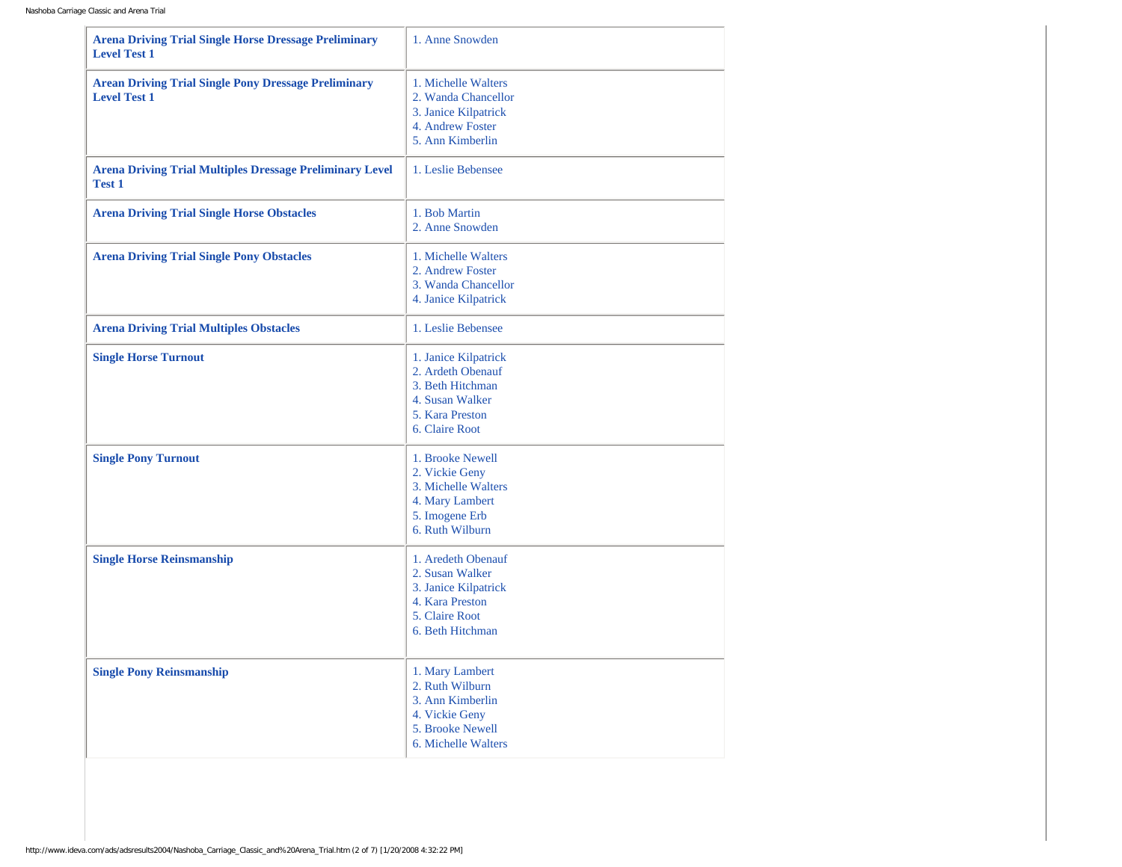| <b>Arena Driving Trial Single Horse Dressage Preliminary</b><br><b>Level Test 1</b> | 1. Anne Snowden                                                                                                        |
|-------------------------------------------------------------------------------------|------------------------------------------------------------------------------------------------------------------------|
| <b>Arean Driving Trial Single Pony Dressage Preliminary</b><br><b>Level Test 1</b>  | 1. Michelle Walters<br>2. Wanda Chancellor<br>3. Janice Kilpatrick<br>4. Andrew Foster<br>5. Ann Kimberlin             |
| <b>Arena Driving Trial Multiples Dressage Preliminary Level</b><br><b>Test 1</b>    | 1. Leslie Bebensee                                                                                                     |
| <b>Arena Driving Trial Single Horse Obstacles</b>                                   | 1. Bob Martin<br>2. Anne Snowden                                                                                       |
| <b>Arena Driving Trial Single Pony Obstacles</b>                                    | 1. Michelle Walters<br>2. Andrew Foster<br>3. Wanda Chancellor<br>4. Janice Kilpatrick                                 |
| <b>Arena Driving Trial Multiples Obstacles</b>                                      | 1. Leslie Bebensee                                                                                                     |
| <b>Single Horse Turnout</b>                                                         | 1. Janice Kilpatrick<br>2. Ardeth Obenauf<br>3. Beth Hitchman<br>4. Susan Walker<br>5. Kara Preston<br>6. Claire Root  |
| <b>Single Pony Turnout</b>                                                          | 1. Brooke Newell<br>2. Vickie Geny<br>3. Michelle Walters<br>4. Mary Lambert<br>5. Imogene Erb<br>6. Ruth Wilburn      |
| <b>Single Horse Reinsmanship</b>                                                    | 1. Aredeth Obenauf<br>2. Susan Walker<br>3. Janice Kilpatrick<br>4. Kara Preston<br>5. Claire Root<br>6. Beth Hitchman |
| <b>Single Pony Reinsmanship</b>                                                     | 1. Mary Lambert<br>2. Ruth Wilburn<br>3. Ann Kimberlin<br>4. Vickie Geny<br>5. Brooke Newell<br>6. Michelle Walters    |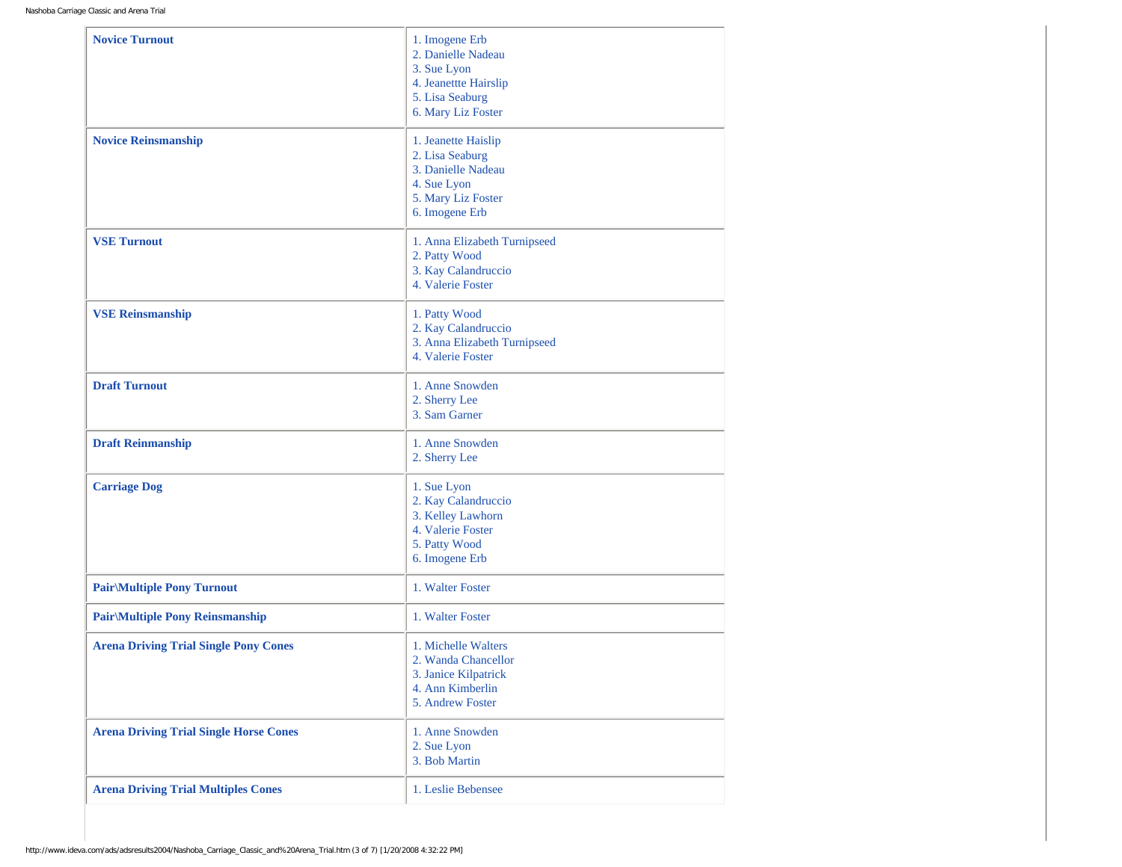| <b>Novice Turnout</b>                         | 1. Imogene Erb<br>2. Danielle Nadeau<br>3. Sue Lyon<br>4. Jeanettte Hairslip<br>5. Lisa Seaburg<br>6. Mary Liz Foster |
|-----------------------------------------------|-----------------------------------------------------------------------------------------------------------------------|
| <b>Novice Reinsmanship</b>                    | 1. Jeanette Haislip<br>2. Lisa Seaburg<br>3. Danielle Nadeau<br>4. Sue Lyon<br>5. Mary Liz Foster<br>6. Imogene Erb   |
| <b>VSE Turnout</b>                            | 1. Anna Elizabeth Turnipseed<br>2. Patty Wood<br>3. Kay Calandruccio<br>4. Valerie Foster                             |
| <b>VSE Reinsmanship</b>                       | 1. Patty Wood<br>2. Kay Calandruccio<br>3. Anna Elizabeth Turnipseed<br>4. Valerie Foster                             |
| <b>Draft Turnout</b>                          | 1. Anne Snowden<br>2. Sherry Lee<br>3. Sam Garner                                                                     |
| <b>Draft Reinmanship</b>                      | 1. Anne Snowden<br>2. Sherry Lee                                                                                      |
| <b>Carriage Dog</b>                           | 1. Sue Lyon<br>2. Kay Calandruccio<br>3. Kelley Lawhorn<br>4. Valerie Foster<br>5. Patty Wood<br>6. Imogene Erb       |
| <b>Pair/Multiple Pony Turnout</b>             | 1. Walter Foster                                                                                                      |
| <b>Pair/Multiple Pony Reinsmanship</b>        | 1. Walter Foster                                                                                                      |
| <b>Arena Driving Trial Single Pony Cones</b>  | 1. Michelle Walters<br>2. Wanda Chancellor<br>3. Janice Kilpatrick<br>4. Ann Kimberlin<br>5. Andrew Foster            |
| <b>Arena Driving Trial Single Horse Cones</b> | 1. Anne Snowden<br>2. Sue Lyon<br>3. Bob Martin                                                                       |
| <b>Arena Driving Trial Multiples Cones</b>    | 1. Leslie Bebensee                                                                                                    |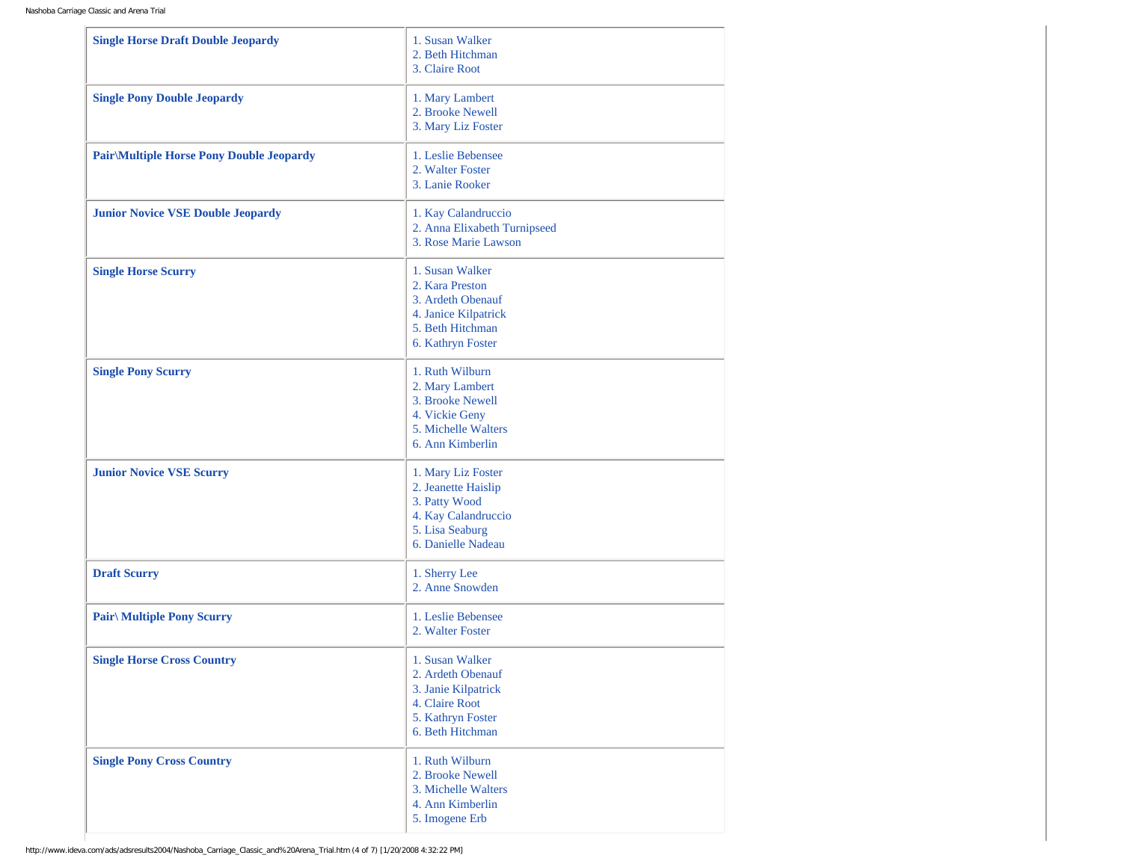| <b>Single Horse Draft Double Jeopardy</b>        | 1. Susan Walker<br>2. Beth Hitchman<br>3. Claire Root                                                                      |
|--------------------------------------------------|----------------------------------------------------------------------------------------------------------------------------|
| <b>Single Pony Double Jeopardy</b>               | 1. Mary Lambert<br>2. Brooke Newell<br>3. Mary Liz Foster                                                                  |
| <b>Pair</b> \Multiple Horse Pony Double Jeopardy | 1. Leslie Bebensee<br>2. Walter Foster<br>3. Lanie Rooker                                                                  |
| <b>Junior Novice VSE Double Jeopardy</b>         | 1. Kay Calandruccio<br>2. Anna Elixabeth Turnipseed<br>3. Rose Marie Lawson                                                |
| <b>Single Horse Scurry</b>                       | 1. Susan Walker<br>2. Kara Preston<br>3. Ardeth Obenauf<br>4. Janice Kilpatrick<br>5. Beth Hitchman<br>6. Kathryn Foster   |
| <b>Single Pony Scurry</b>                        | 1. Ruth Wilburn<br>2. Mary Lambert<br>3. Brooke Newell<br>4. Vickie Geny<br>5. Michelle Walters<br>6. Ann Kimberlin        |
| <b>Junior Novice VSE Scurry</b>                  | 1. Mary Liz Foster<br>2. Jeanette Haislip<br>3. Patty Wood<br>4. Kay Calandruccio<br>5. Lisa Seaburg<br>6. Danielle Nadeau |
| <b>Draft Scurry</b>                              | 1. Sherry Lee<br>2. Anne Snowden                                                                                           |
| <b>Pair</b> \ Multiple Pony Scurry               | 1. Leslie Bebensee<br>2. Walter Foster                                                                                     |
| <b>Single Horse Cross Country</b>                | 1. Susan Walker<br>2. Ardeth Obenauf<br>3. Janie Kilpatrick<br>4. Claire Root<br>5. Kathryn Foster<br>6. Beth Hitchman     |
| <b>Single Pony Cross Country</b>                 | 1. Ruth Wilburn<br>2. Brooke Newell<br>3. Michelle Walters<br>4. Ann Kimberlin<br>5. Imogene Erb                           |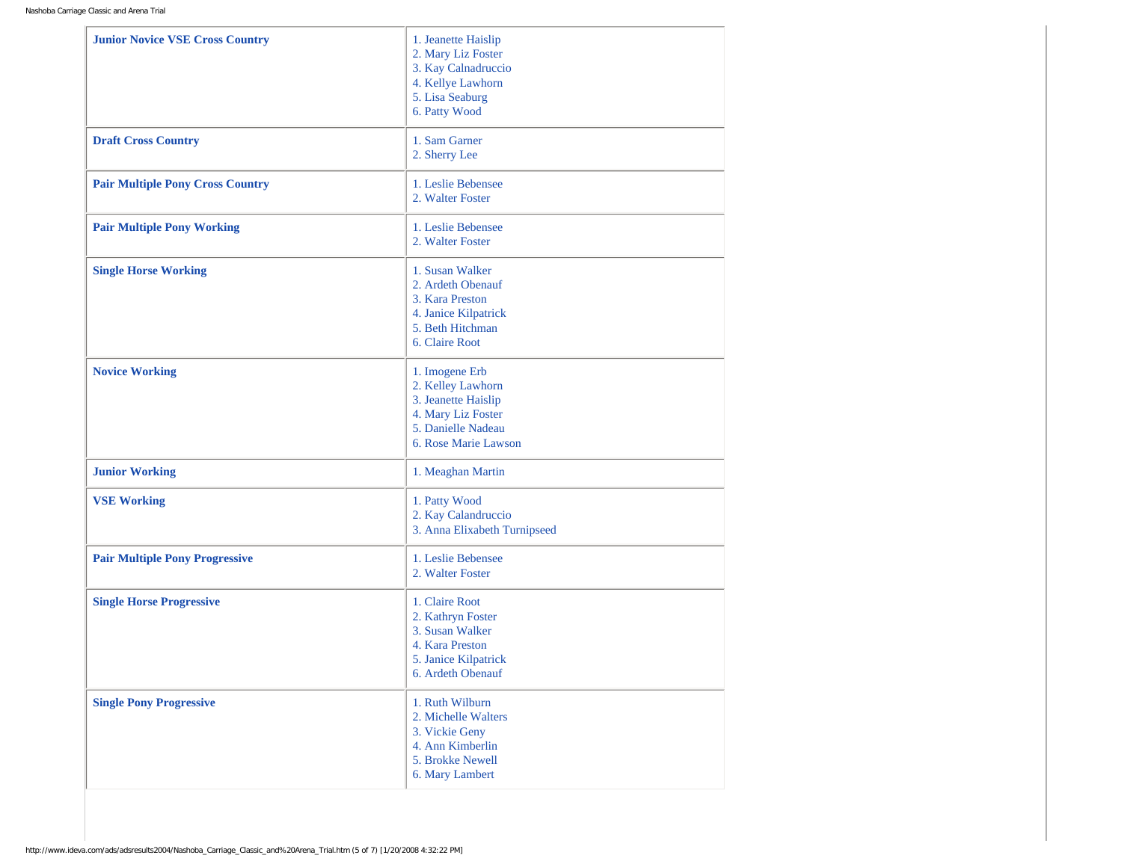| <b>Junior Novice VSE Cross Country</b>  | 1. Jeanette Haislip<br>2. Mary Liz Foster<br>3. Kay Calnadruccio<br>4. Kellye Lawhorn<br>5. Lisa Seaburg<br>6. Patty Wood      |
|-----------------------------------------|--------------------------------------------------------------------------------------------------------------------------------|
| <b>Draft Cross Country</b>              | 1. Sam Garner<br>2. Sherry Lee                                                                                                 |
| <b>Pair Multiple Pony Cross Country</b> | 1. Leslie Bebensee<br>2. Walter Foster                                                                                         |
| <b>Pair Multiple Pony Working</b>       | 1. Leslie Bebensee<br>2. Walter Foster                                                                                         |
| <b>Single Horse Working</b>             | 1. Susan Walker<br>2. Ardeth Obenauf<br>3. Kara Preston<br>4. Janice Kilpatrick<br>5. Beth Hitchman<br>6. Claire Root          |
| <b>Novice Working</b>                   | 1. Imogene Erb<br>2. Kelley Lawhorn<br>3. Jeanette Haislip<br>4. Mary Liz Foster<br>5. Danielle Nadeau<br>6. Rose Marie Lawson |
| <b>Junior Working</b>                   | 1. Meaghan Martin                                                                                                              |
| <b>VSE Working</b>                      | 1. Patty Wood<br>2. Kay Calandruccio<br>3. Anna Elixabeth Turnipseed                                                           |
| <b>Pair Multiple Pony Progressive</b>   | 1. Leslie Bebensee<br>2. Walter Foster                                                                                         |
| <b>Single Horse Progressive</b>         | 1. Claire Root<br>2. Kathryn Foster<br>3. Susan Walker<br>4. Kara Preston<br>5. Janice Kilpatrick<br>6. Ardeth Obenauf         |
| <b>Single Pony Progressive</b>          | 1. Ruth Wilburn<br>2. Michelle Walters<br>3. Vickie Geny<br>4. Ann Kimberlin<br>5. Brokke Newell<br>6. Mary Lambert            |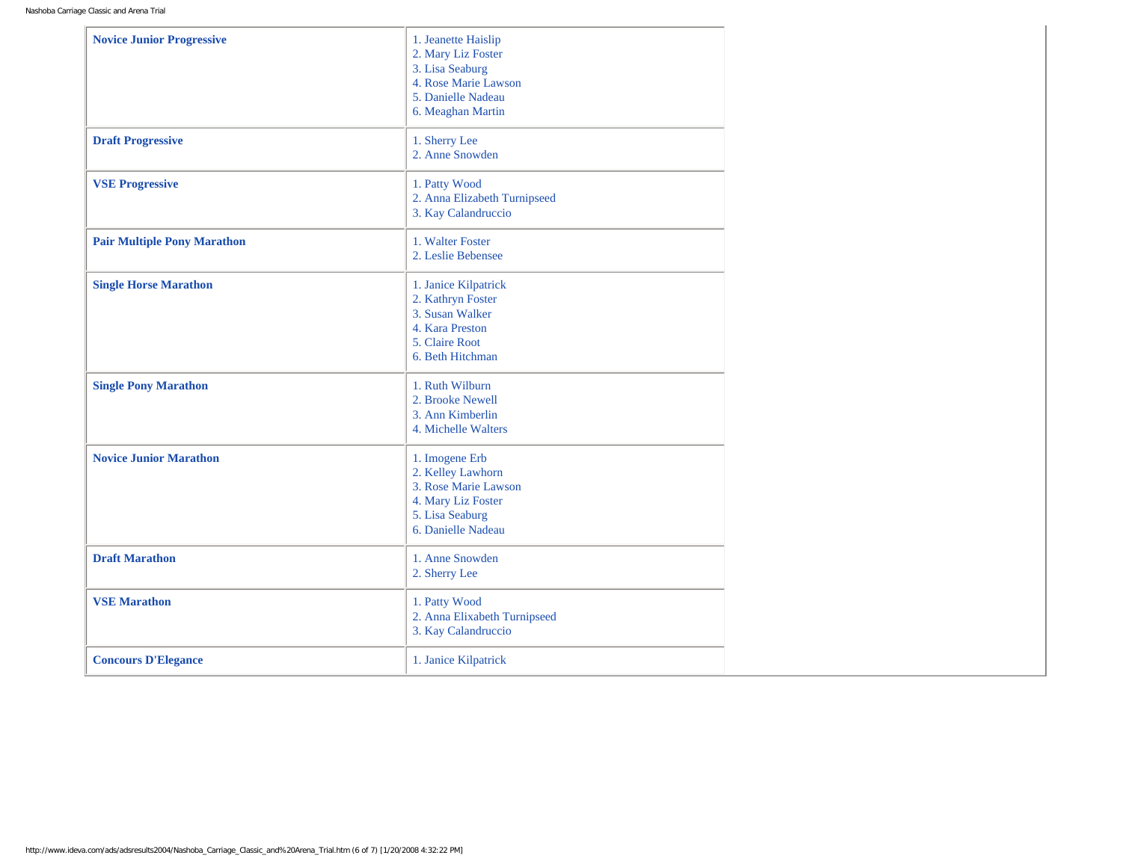| <b>Novice Junior Progressive</b>   | 1. Jeanette Haislip<br>2. Mary Liz Foster<br>3. Lisa Seaburg<br>4. Rose Marie Lawson<br>5. Danielle Nadeau<br>6. Meaghan Martin |
|------------------------------------|---------------------------------------------------------------------------------------------------------------------------------|
| <b>Draft Progressive</b>           | 1. Sherry Lee<br>2. Anne Snowden                                                                                                |
| <b>VSE Progressive</b>             | 1. Patty Wood<br>2. Anna Elizabeth Turnipseed<br>3. Kay Calandruccio                                                            |
| <b>Pair Multiple Pony Marathon</b> | 1. Walter Foster<br>2. Leslie Bebensee                                                                                          |
| <b>Single Horse Marathon</b>       | 1. Janice Kilpatrick<br>2. Kathryn Foster<br>3. Susan Walker<br>4. Kara Preston<br>5. Claire Root<br>6. Beth Hitchman           |
| <b>Single Pony Marathon</b>        | 1. Ruth Wilburn<br>2. Brooke Newell<br>3. Ann Kimberlin<br>4. Michelle Walters                                                  |
| <b>Novice Junior Marathon</b>      | 1. Imogene Erb<br>2. Kelley Lawhorn<br>3. Rose Marie Lawson<br>4. Mary Liz Foster<br>5. Lisa Seaburg<br>6. Danielle Nadeau      |
| <b>Draft Marathon</b>              | 1. Anne Snowden<br>2. Sherry Lee                                                                                                |
| <b>VSE Marathon</b>                | 1. Patty Wood<br>2. Anna Elixabeth Turnipseed<br>3. Kay Calandruccio                                                            |
| <b>Concours D'Elegance</b>         | 1. Janice Kilpatrick                                                                                                            |